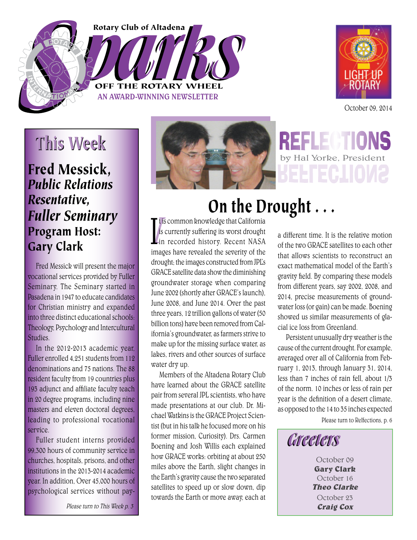# OFF THE ROTARY WHEEL Rotary Club of Altadena

AN AWARD-WINNING NEWSLETTER



October 09, 2014

# This Week

Fred Messick, *Public Relations Resentative, Fuller Seminary* Program Host: Gary Clark

Fred Messick will present the major vocational services provided by Fuller Seminary. The Seminary started in Pasadena in 1947 to educate candidates for Christian ministry and expanded into three distinct educational schools: Theology, Psychology and Intercultural Studies.

In the 2012-2013 academic year, Fuller enrolled 4,251 students from 112 denominations and 75 nations. The 88 resident faculty from 19 countries plus 193 adjunct and affiliate faculty teach in 20 degree programs, including nine masters and eleven doctoral degrees, leading to professional vocational service.

Fuller student interns provided 99,300 hours of community service in churches, hospitals, prisons, and other institutions in the 2013-2014 academic year. In addition, Over 45,000 hours of psychological services without pay-

Please turn to This Week p. 3



# On the Drought . . .

 $\begin{bmatrix} t & s \\ is & 0 \\ in & 1 \end{bmatrix}$ t is common knowledge that California is currently suffering its worst drought in recorded history. Recent NASA images have revealed the severity of the drought; the images constructed from JPL's GRACE satellite data show the diminishing groundwater storage when comparing June 2002 (shortly after GRACE's launch), June 2008, and June 2014. Over the past three years, 12 trillion gallons of water (50 billion tons) have been removed from California's groundwater, as farmers strive to make up for the missing surface water, as lakes, rivers and other sources of surface water dry up.

Members of the Altadena Rotary Club have learned about the GRACE satellite pair from several JPL scientists, who have made presentations at our club. Dr. Michael Watkins is the GRACE Project Scientist (but in his talk he focused more on his former mission, Curiosity). Drs. Carmen Boening and Josh Willis each explained how GRACE works: orbiting at about 250 miles above the Earth, slight changes in the Earth's gravity cause the two separated satellites to speed up or slow down, dip towards the Earth or move away, each at a different time. It is the relative motion of the two GRACE satellites to each other that allows scientists to reconstruct an exact mathematical model of the Earth's gravity field. By comparing these models from different years, say 2002, 2008, and 2014, precise measurements of groundwater loss (or gain) can be made. Boening showed us similar measurements of glacial ice loss from Greenland.

by Hal Yorke, President

Persistent unusually dry weather is the cause of the current drought. For example, averaged over all of California from February 1, 2013, through January 31, 2014, less than 7 inches of rain fell, about 1/3 of the norm. 10 inches or less of rain per year is the definition of a desert climate, as opposed to the 14 to 35 inches expected

Please turn to Relfections, p. 6



October 09 **Gary Clark** October 16 **Theo Clarke** October 23 **Craig Cox**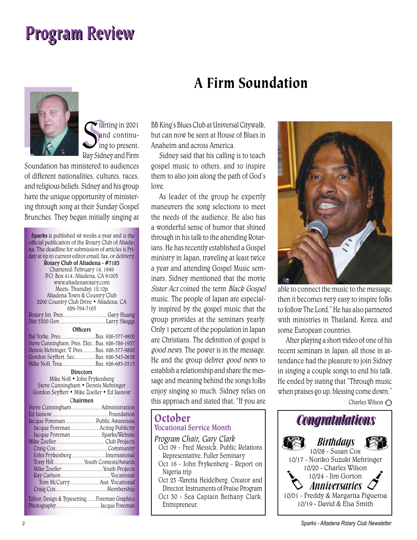# Program Review



Indian 2001 and continu-<br>
ing to present,<br>
Ray Sidney and Firm and continuing to present,

Soundation has ministered to audiences of different nationalities, cultures, races, and religious beliefs. Sidney and his group have the unique opportunity of ministering through song at their Sunday Gospel Brunches. They began initially singing at

Sparks is published 48 weeks a year and is the official publication of the Rotary Club of Altadena. The deadline for submission of articles is Friday at 6p to current editor email, fax, or delivery. Rotary Club of Altadena - #7183 Chartered: February 14, 1949 P.O. Box 414, Altadena, CA 91003 www.altadenarotary.com Meets: Thursday, 12:10p Altadena Town & Country Club 2290 Country Club Drive • Altadena, CA 626-794-7163 Rotary Int. Pres. ................................. Gary Huang Dist 5300 Gov. ...................................Larry Skaggs **Officers** Hal Yorke, Pres. ..........................Bus. 626-577-9800 Steve Cunningham, Pres. Elec..Bus. 626-786-1937 Dennis Mehringer, V. Pres. .........Bus. 626-577-9800 Gordon Seyffert, Sec................Bus. 626-345-0658 Mike Noll, Trea. .........................Bus. 626-683-0515 **Directors** Mike Noll • John Frykenberg Steve Cunningham • Dennis Mehringer Gordon Seyffert • Mike Zoeller • Ed Jasnow Chairmen Steve Cunningham ...................... Administration Ed Jasnow............................................ Foundation Jacque Foreman ....................... Public Awareness Jacque Foreman ......................Acting Publicity Jacque Foreman ....................... Sparks/Website Mike Zoeller ..................................... Club Projects Craig Cox ........................................ Community John Frykenberg ..........................International Tony Hill .......................Youth Contests/Awards Mike Zoeller ................................Youth Projects Ray Carlson .......................................Vocational Tom McCurry....................... Asst. Vocational Craig Cox ........................................Membership Editor, Design & Typesetting........Foreman Graphics Photography .................................... Jacque Foreman

#### BB King's Blues Club at Universal Citywalk, but can now be seen at House of Blues in Anaheim and across America.

A Firm Soundation

Sidney said that his calling is to teach gospel music to others, and to inspire them to also join along the path of God's love.

As leader of the group he expertly maneuvers the song selections to meet the needs of the audience. He also has a wonderful sense of humor that shined through in his talk to the attending Rotarians. He has recently established a Gospel ministry in Japan, traveling at least twice a year and attending Gospel Music seminars. Sidney mentioned that the movie Sister Act coined the term Black Gospel music. The people of Japan are especially inspired by the gospel music that the group provides at the seminars yearly. Only 1 percent of the population in Japan are Christians. The definition of gospel is good news. The power is in the message. He and the group deliver good news to establish a relationship and share the message and meaning behind the songs folks enjoy singing so much. Sidney relies on this approach and stated that, "If you are

#### **October** Vocational Service Month

*Program Chair, Gary Clark*

- Oct 09 Fred Messick, Public Relations Representative, Fuller Seminary
- Oct 16 John Frykenberg Report on Nigeria trip
- Oct 23 -Varetta Heidelberg, Creator and Director, Instruments of Praise Program
- Oct 30 Sea Captain Bethany Clark, Entrepreneur,



able to connect the music to the message, then it becomes very easy to inspire folks to follow The Lord." He has also partnered with ministries in Thailand, Korea, and some European countries.

After playing a short video of one of his recent seminars in Japan, all those in attendance had the pleasure to join Sidney in singing a couple songs to end his talk. He ended by stating that "Through music when praises go up, blessing come down." Charles Wilson  $\bigcirc$ 

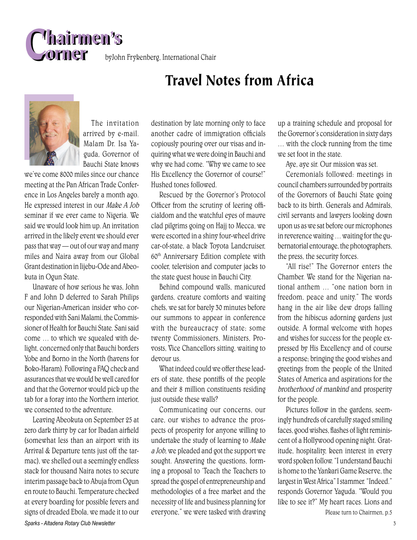

byJohn Frykenberg, International Chair

### Travel Notes from Africa



The invitation arrived by e-mail. Malam Dr. Isa Yaguda, Governor of Bauchi State knows

we've come 8000 miles since our chance meeting at the Pan African Trade Conference in Los Angeles barely a month ago. He expressed interest in our Make A Job seminar if we ever came to Nigeria. We said we would look him up. An invitation arrived in the likely event we should ever pass that way — out of our way and many miles and Naira away from our Global Grant destination in Iijebu-Ode and Abeokuta in Ogun State.

Unaware of how serious he was, John F and John D deferred to Sarah Philips our Nigerian-American insider who corresponded with Sani Malami, the Commissioner of Health for Bauchi State. Sani said come … to which we squealed with delight, concerned only that Bauchi borders Yobe and Borno in the North (havens for Boko-Haram). Following a FAQ check and assurances that we would be well cared for and that the Governor would pick up the tab for a foray into the Northern interior, we consented to the adventure.

*Sparks - Altadena Rotary Club Newsletter* 3 Leaving Abeokuta on September 25 at zero dark thirty by car for Ibadan airfield (somewhat less than an airport with its Arrival & Departure tents just off the tarmac), we shelled out a seemingly endless stack for thousand Naira notes to secure interim passage back to Abuja from Ogun en route to Bauchi. Temperature checked at every boarding for possible fevers and signs of dreaded Ebola, we made it to our

destination by late morning only to face another cadre of immigration officials copiously pouring over our visas and inquiring what we were doing in Bauchi and why we had come. "Why we came to see His Excellency the Governor of course!" Hushed tones followed.

Rescued by the Governor's Protocol Officer from the scrutiny of leering officialdom and the watchful eyes of mauve clad pilgrims going on Hajj to Mecca, we were escorted in a shiny four-wheel drive car-of-state, a black Toyota Landcruiser, 60th Anniversary Edition complete with cooler, television and computer jacks to the state guest house in Bauchi City.

Behind compound walls, manicured gardens, creature comforts and waiting chefs, we sat for barely 30 minutes before our summons to appear in conference with the bureaucracy of state; some twenty Commissioners, Ministers, Provosts, Vice Chancellors sitting, waiting to devour us.

What indeed could we offer these leaders of state, these pontiffs of the people and their 8 million constituents residing just outside these walls?

Communicating our concerns, our care, our wishes to advance the prospects of prosperity for anyone willing to undertake the study of learning to Make a Job, we pleaded and got the support we sought. Answering the questions, forming a proposal to 'Teach the Teachers to spread the gospel of entrepreneurship and methodologies of a free market and the necessity of life and business planning for everyone," we were tasked with drawing up a training schedule and proposal for the Governor's consideration in sixty days … with the clock running from the time we set foot in the state.

Aye, aye sir. Our mission was set.

Ceremonials followed: meetings in council chambers surrounded by portraits of the Governors of Bauchi State going back to its birth. Generals and Admirals, civil servants and lawyers looking down upon us as we sat before our microphones in reverence waiting … waiting for the gubernatorial entourage, the photographers, the press, the security forces.

"All rise!" The Governor enters the Chamber. We stand for the Nigerian national anthem … "one nation born in freedom, peace and unity." The words hang in the air like dew drops falling from the hibiscus adorning gardens just outside. A formal welcome with hopes and wishes for success for the people expressed by His Excellency and of course a response; bringing the good wishes and greetings from the people of the United States of America and aspirations for the brotherhood of mankind and prosperity for the people.

Pictures follow in the gardens, seemingly hundreds of carefully staged smiling faces, good wishes, flashes of light reminiscent of a Hollywood opening night. Gratitude, hospitality, keen interest in every word spoken follow. "I understand Bauchi is home to the Yankari Game Reserve, the largest in West Africa" I stammer. "Indeed." responds Governor Yaguda. "Would you like to see it?" My heart races. Lions and

Please turn to Chairmen, p.5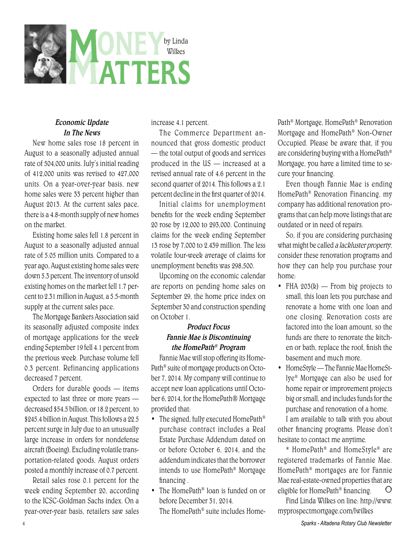

#### Economic Update In The News

New home sales rose 18 percent in August to a seasonally adjusted annual rate of 504,000 units. July's initial reading of 412,000 units was revised to 427,000 units. On a year-over-year basis, new home sales were 33 percent higher than August 2013. At the current sales pace, there is a 4.8-month supply of new homes on the market.

Existing home sales fell 1.8 percent in August to a seasonally adjusted annual rate of 5.05 million units. Compared to a year ago, August existing home sales were down 5.3 percent. The inventory of unsold existing homes on the market fell 1.7 percent to 2.31 million in August, a 5.5-month supply at the current sales pace.

The Mortgage Bankers Association said its seasonally adjusted composite index of mortgage applications for the week ending September 19 fell 4.1 percent from the previous week. Purchase volume fell 0.3 percent. Refinancing applications decreased 7 percent.

Orders for durable goods — items expected to last three or more years decreased \$54.5 billion, or 18.2 percent, to \$245.4 billion in August. This follows a 22.5 percent surge in July due to an unusually large increase in orders for nondefense aircraft (Boeing). Excluding volatile transportation-related goods, August orders posted a monthly increase of 0.7 percent.

Retail sales rose 0.1 percent for the week ending September 20, according to the ICSC-Goldman Sachs index. On a year-over-year basis, retailers saw sales increase 4.1 percent.

The Commerce Department announced that gross domestic product — the total output of goods and services produced in the US — increased at a revised annual rate of 4.6 percent in the second quarter of 2014. This follows a 2.1 percent decline in the first quarter of 2014.

Initial claims for unemployment benefits for the week ending September 20 rose by 12,000 to 293,000. Continuing claims for the week ending September 13 rose by 7,000 to 2.439 million. The less volatile four-week average of claims for unemployment benefits was 298,500.

Upcoming on the economic calendar are reports on pending home sales on September 29, the home price index on September 30 and construction spending on October 1.

#### Product Focus Fannie Mae is Discontinuing the HomePath ® Program

Fannie Mae will stop offering its Home-Path® suite of mortgage products on October 7, 2014. My company will continue to accept new loan applications until October 6, 2014, for the HomePath® Mortgage provided that:

- The signed, fully executed HomePath® purchase contract includes a Real Estate Purchase Addendum dated on or before October 6, 2014, and the addendum indicates that the borrower intends to use HomePath® Mortgage financing.
- The HomePath<sup>®</sup> loan is funded on or before December 31, 2014.

The HomePath® suite includes Home-

Path® Mortgage, HomePath® Renovation Mortgage and HomePath® Non-Owner Occupied. Please be aware that, if you are considering buying with a HomePath® Mortgage, you have a limited time to secure your financing.

Even though Fannie Mae is ending HomePath® Renovation Financing, my company has additional renovation programs that can help move listings that are outdated or in need of repairs.

So, if you are considering purchasing what might be called a lackluster property, consider these renovation programs and how they can help you purchase your home:

- FHA  $203(k)$  From big projects to small, this loan lets you purchase and renovate a home with one loan and one closing. Renovation costs are factored into the loan amount, so the funds are there to renovate the kitchen or bath, replace the roof, finish the basement and much more.
- HomeStyle The Fannie Mae HomeStlye® Mortgage can also be used for home repair or improvement projects big or small, and includes funds for the purchase and renovation of a home.

I am available to talk with you about other financing programs. Please don't hesitate to contact me anytime.

\* HomePath® and HomeStyle® are registered trademarks of Fannie Mae. HomePath® mortgages are for Fannie Mae real-estate-owned properties that are eligible for HomePath® financing.  $\circ$ 

Find Linda Wilkes on line: http://www. myprospectmortgage.com/lwilkes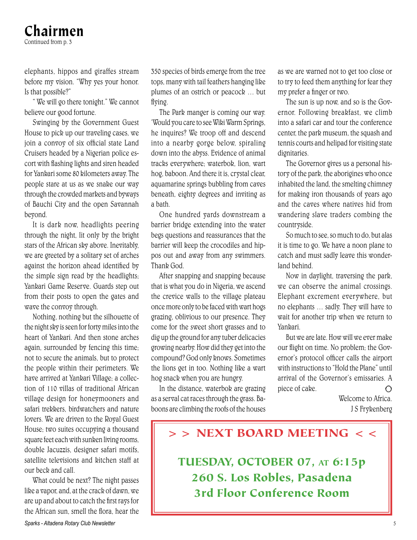#### Chairmen Continued from p. 3

elephants, hippos and giraffes stream before my vision. "Why yes your honor. Is that possible?"

" We will go there tonight." We cannot believe our good fortune.

Swinging by the Government Guest House to pick up our traveling cases, we join a convoy of six official state Land Cruisers headed by a Nigerian police escort with flashing lights and siren headed for Yankari some 80 kilometers away. The people stare at us as we snake our way through the crowded markets and byways of Bauchi City and the open Savannah beyond.

It is dark now, headlights peering through the night, lit only by the bright stars of the African sky above. Inevitably, we are greeted by a solitary set of arches against the horizon ahead identified by the simple sign read by the headlights; Yankari Game Reserve. Guards step out from their posts to open the gates and wave the convoy through.

Nothing, nothing but the silhouette of the night sky is seen for forty miles into the heart of Yankari. And then stone arches again, surrounded by fencing this time; not to secure the animals, but to protect the people within their perimeters. We have arrived at Yankari Village; a collection of 110 villas of traditional African village design for honeymooners and safari trekkers, birdwatchers and nature lovers. We are driven to the Royal Guest House; two suites occupying a thousand square feet each with sunken living rooms, double Jacuzzis, designer safari motifs, satellite televisions and kitchen staff at our beck and call.

 What could be next? The night passes like a vapor, and, at the crack of dawn, we are up and about to catch the first rays for the African sun, smell the flora, hear the

350 species of birds emerge from the tree tops, many with tail feathers hanging like plumes of an ostrich or peacock … but flving.

The Park manger is coming our way. 'Would you care to see Wiki Warm Springs, he inquires? We troop off and descend into a nearby gorge below, spiraling down into the abyss. Evidence of animal tracks everywhere; waterbok, lion, wart hog, baboon. And there it is, crystal clear, aquamarine springs bubbling from caves beneath, eighty degrees and inviting as a bath.

One hundred yards downstream a barrier bridge extending into the water begs questions and reassurances that the barrier will keep the crocodiles and hippos out and away from any swimmers. Thank God.

After snapping and snapping because that is what you do in Nigeria, we ascend the crevice walls to the village plateau once more only to be faced with wart hogs grazing, oblivious to our presence. They come for the sweet short grasses and to dig up the ground for any tuber delicacies growing nearby. How did they get into the compound? God only knows. Sometimes the lions get in too. Nothing like a wart hog snack when you are hungry.

In the distance, waterbok are grazing as a serval cat races through the grass. Baboons are climbing the roofs of the houses as we are warned not to get too close or to try to feed them anything for fear they my prefer a finger or two.

The sun is up now, and so is the Governor. Following breakfast, we climb into a safari car and tour the conference center, the park museum, the squash and tennis courts and helipad for visiting state dignitaries.

The Governor gives us a personal history of the park, the aborigines who once inhabited the land, the smelting chimney for making iron thousands of years ago and the caves where natives hid from wandering slave traders combing the countryside.

So much to see, so much to do, but alas it is time to go. We have a noon plane to catch and must sadly leave this wonderland behind.

Now in daylight, traversing the park, we can observe the animal crossings. Elephant excrement everywhere, but no elephants … sadly. They will have to wait for another trip when we return to Yankari.

But we are late. How will we ever make our flight on time. No problem; the Governor's protocol officer calls the airport with instructions to "Hold the Plane" until arrival of the Governor's emissaries. A piece of cake.  $\bigcap$ 

> Welcome to Africa. J S Frykenberg

### >> NEXT BOARD MEETING <<

TUESDAY, OCTOBER 07, AT 6:15p 260 S. Los Robles, Pasadena 3rd Floor Conference Room